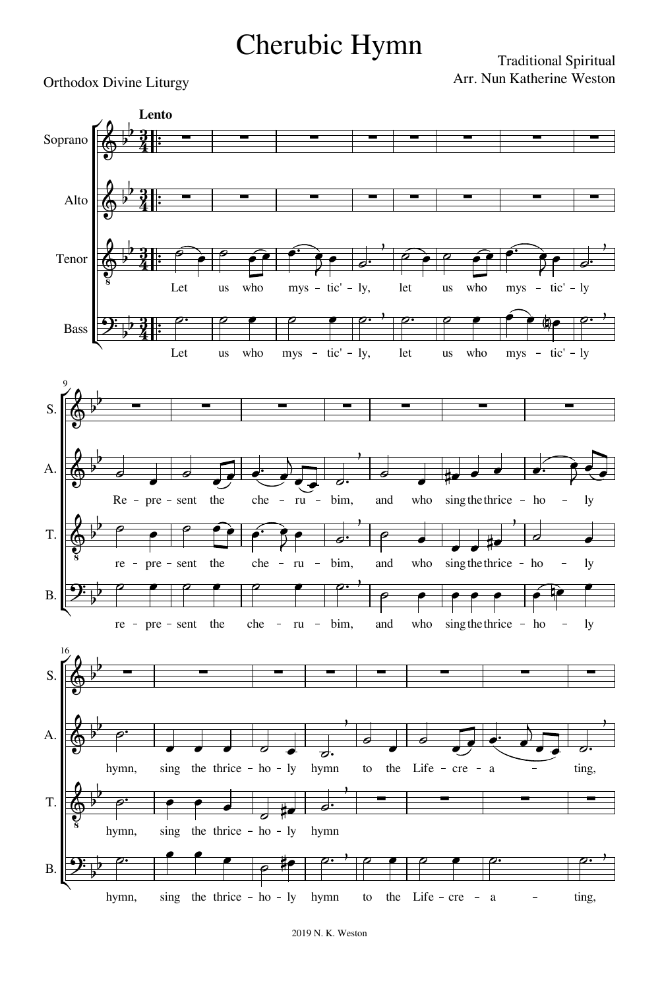## Cherubic Hymn

## Orthodox Divine Liturgy

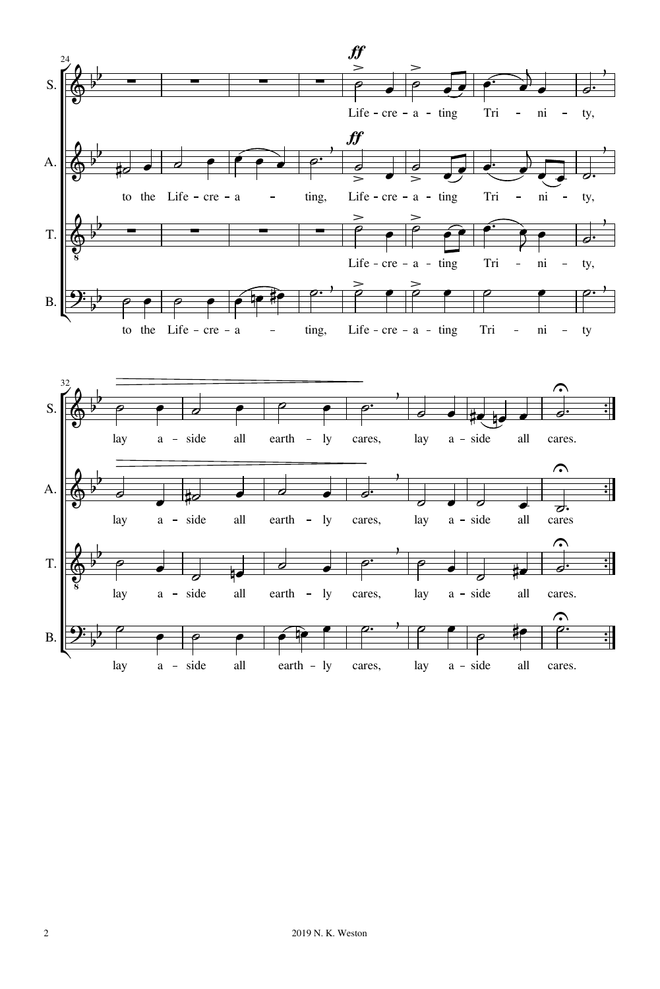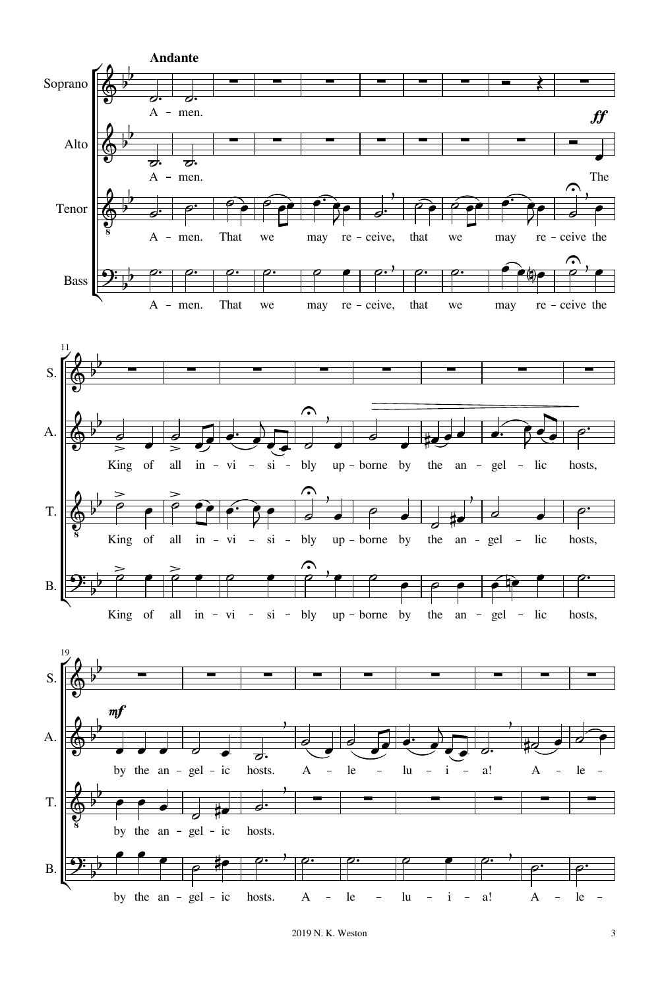